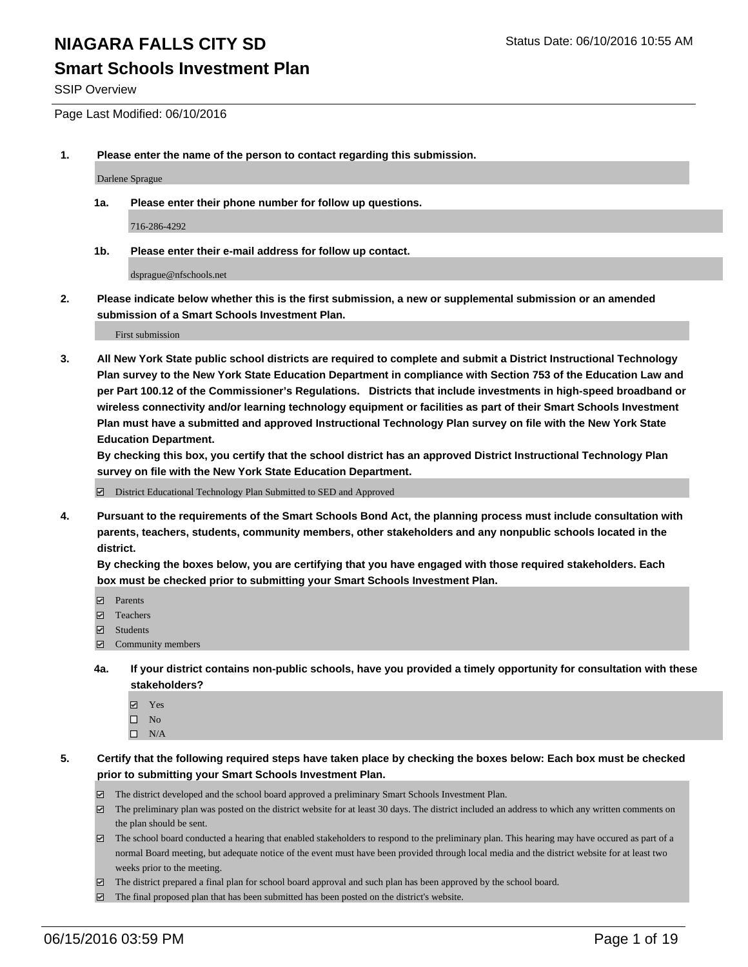### **Smart Schools Investment Plan**

SSIP Overview

Page Last Modified: 06/10/2016

**1. Please enter the name of the person to contact regarding this submission.**

Darlene Sprague

**1a. Please enter their phone number for follow up questions.**

716-286-4292

**1b. Please enter their e-mail address for follow up contact.**

dsprague@nfschools.net

**2. Please indicate below whether this is the first submission, a new or supplemental submission or an amended submission of a Smart Schools Investment Plan.**

First submission

**3. All New York State public school districts are required to complete and submit a District Instructional Technology Plan survey to the New York State Education Department in compliance with Section 753 of the Education Law and per Part 100.12 of the Commissioner's Regulations. Districts that include investments in high-speed broadband or wireless connectivity and/or learning technology equipment or facilities as part of their Smart Schools Investment Plan must have a submitted and approved Instructional Technology Plan survey on file with the New York State Education Department.** 

**By checking this box, you certify that the school district has an approved District Instructional Technology Plan survey on file with the New York State Education Department.**

District Educational Technology Plan Submitted to SED and Approved

**4. Pursuant to the requirements of the Smart Schools Bond Act, the planning process must include consultation with parents, teachers, students, community members, other stakeholders and any nonpublic schools located in the district.** 

**By checking the boxes below, you are certifying that you have engaged with those required stakeholders. Each box must be checked prior to submitting your Smart Schools Investment Plan.**

- **Parents**
- Teachers
- $\blacksquare$  Students
- Community members
- **4a. If your district contains non-public schools, have you provided a timely opportunity for consultation with these stakeholders?**
	- Yes  $\square$  No
	- $\square$  N/A
- **5. Certify that the following required steps have taken place by checking the boxes below: Each box must be checked prior to submitting your Smart Schools Investment Plan.**
	- The district developed and the school board approved a preliminary Smart Schools Investment Plan.
	- $\Box$  The preliminary plan was posted on the district website for at least 30 days. The district included an address to which any written comments on the plan should be sent.
	- $\Box$  The school board conducted a hearing that enabled stakeholders to respond to the preliminary plan. This hearing may have occured as part of a normal Board meeting, but adequate notice of the event must have been provided through local media and the district website for at least two weeks prior to the meeting.
	- The district prepared a final plan for school board approval and such plan has been approved by the school board.
	- $\boxdot$  The final proposed plan that has been submitted has been posted on the district's website.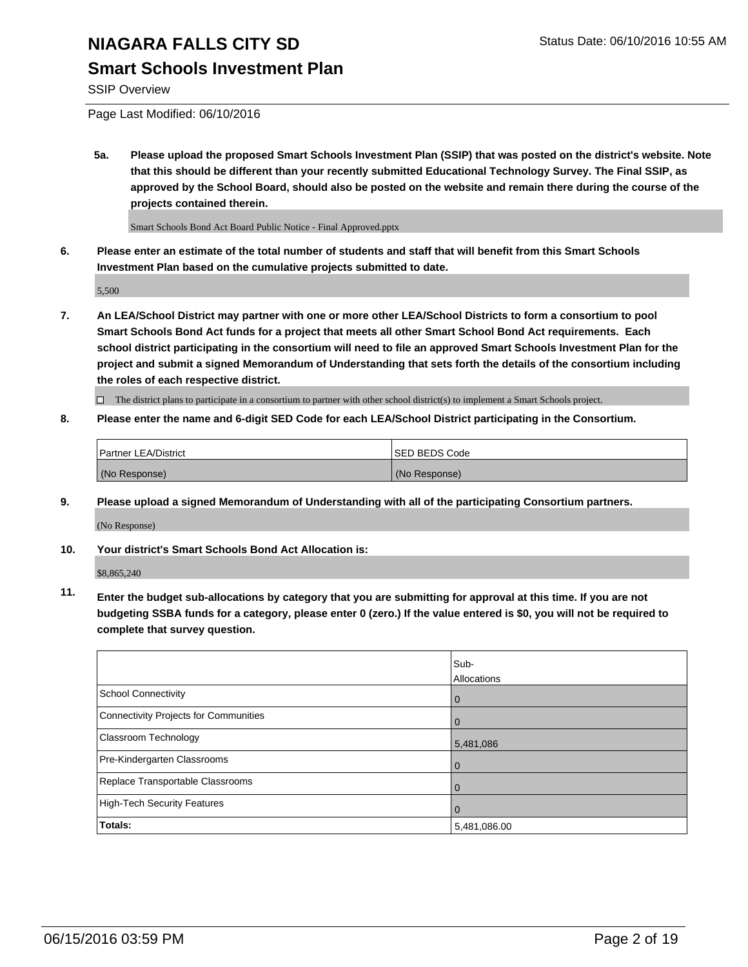## **Smart Schools Investment Plan**

SSIP Overview

Page Last Modified: 06/10/2016

**5a. Please upload the proposed Smart Schools Investment Plan (SSIP) that was posted on the district's website. Note that this should be different than your recently submitted Educational Technology Survey. The Final SSIP, as approved by the School Board, should also be posted on the website and remain there during the course of the projects contained therein.**

Smart Schools Bond Act Board Public Notice - Final Approved.pptx

**6. Please enter an estimate of the total number of students and staff that will benefit from this Smart Schools Investment Plan based on the cumulative projects submitted to date.**

5,500

**7. An LEA/School District may partner with one or more other LEA/School Districts to form a consortium to pool Smart Schools Bond Act funds for a project that meets all other Smart School Bond Act requirements. Each school district participating in the consortium will need to file an approved Smart Schools Investment Plan for the project and submit a signed Memorandum of Understanding that sets forth the details of the consortium including the roles of each respective district.**

 $\Box$  The district plans to participate in a consortium to partner with other school district(s) to implement a Smart Schools project.

**8. Please enter the name and 6-digit SED Code for each LEA/School District participating in the Consortium.**

| Partner LEA/District | ISED BEDS Code |
|----------------------|----------------|
| (No Response)        | (No Response)  |

**9. Please upload a signed Memorandum of Understanding with all of the participating Consortium partners.**

(No Response)

**10. Your district's Smart Schools Bond Act Allocation is:**

\$8,865,240

**11. Enter the budget sub-allocations by category that you are submitting for approval at this time. If you are not budgeting SSBA funds for a category, please enter 0 (zero.) If the value entered is \$0, you will not be required to complete that survey question.**

|                                       | Sub-         |
|---------------------------------------|--------------|
|                                       | Allocations  |
| School Connectivity                   | 0            |
| Connectivity Projects for Communities | $\Omega$     |
| Classroom Technology                  | 5,481,086    |
| Pre-Kindergarten Classrooms           | $\Omega$     |
| Replace Transportable Classrooms      | $\Omega$     |
| High-Tech Security Features           | $\Omega$     |
| Totals:                               | 5,481,086.00 |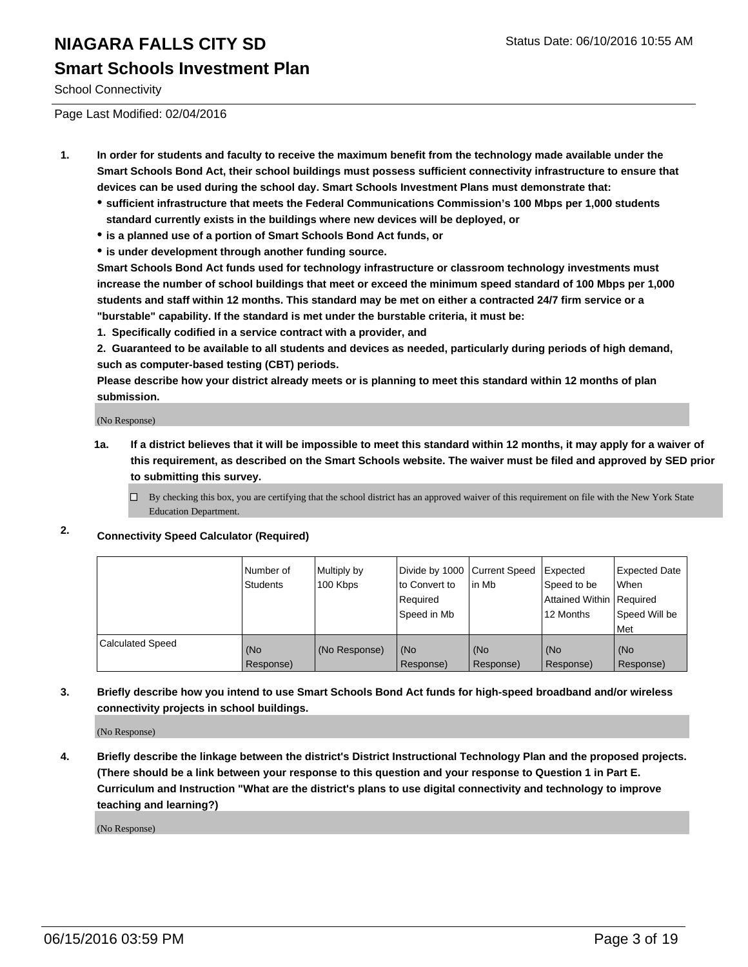### **Smart Schools Investment Plan**

School Connectivity

Page Last Modified: 02/04/2016

- **1. In order for students and faculty to receive the maximum benefit from the technology made available under the Smart Schools Bond Act, their school buildings must possess sufficient connectivity infrastructure to ensure that devices can be used during the school day. Smart Schools Investment Plans must demonstrate that:**
	- **sufficient infrastructure that meets the Federal Communications Commission's 100 Mbps per 1,000 students standard currently exists in the buildings where new devices will be deployed, or**
	- **is a planned use of a portion of Smart Schools Bond Act funds, or**
	- **is under development through another funding source.**

**Smart Schools Bond Act funds used for technology infrastructure or classroom technology investments must increase the number of school buildings that meet or exceed the minimum speed standard of 100 Mbps per 1,000 students and staff within 12 months. This standard may be met on either a contracted 24/7 firm service or a "burstable" capability. If the standard is met under the burstable criteria, it must be:**

**1. Specifically codified in a service contract with a provider, and**

**2. Guaranteed to be available to all students and devices as needed, particularly during periods of high demand, such as computer-based testing (CBT) periods.**

**Please describe how your district already meets or is planning to meet this standard within 12 months of plan submission.**

(No Response)

- **1a. If a district believes that it will be impossible to meet this standard within 12 months, it may apply for a waiver of this requirement, as described on the Smart Schools website. The waiver must be filed and approved by SED prior to submitting this survey.**
	- $\Box$  By checking this box, you are certifying that the school district has an approved waiver of this requirement on file with the New York State Education Department.

### **2. Connectivity Speed Calculator (Required)**

|                         | l Number of<br>Students | Multiply by<br>100 Kbps | Divide by 1000 Current Speed<br>Ito Convert to<br>Required<br>Speed in Mb | lin Mb           | Expected<br>Speed to be<br>Attained Within   Required<br>12 Months | <b>Expected Date</b><br><b>When</b><br>Speed Will be<br><b>IMet</b> |
|-------------------------|-------------------------|-------------------------|---------------------------------------------------------------------------|------------------|--------------------------------------------------------------------|---------------------------------------------------------------------|
| <b>Calculated Speed</b> | (No<br>Response)        | (No Response)           | (No<br>Response)                                                          | (No<br>Response) | (No<br>Response)                                                   | l (No<br>Response)                                                  |

**3. Briefly describe how you intend to use Smart Schools Bond Act funds for high-speed broadband and/or wireless connectivity projects in school buildings.**

(No Response)

**4. Briefly describe the linkage between the district's District Instructional Technology Plan and the proposed projects. (There should be a link between your response to this question and your response to Question 1 in Part E. Curriculum and Instruction "What are the district's plans to use digital connectivity and technology to improve teaching and learning?)**

(No Response)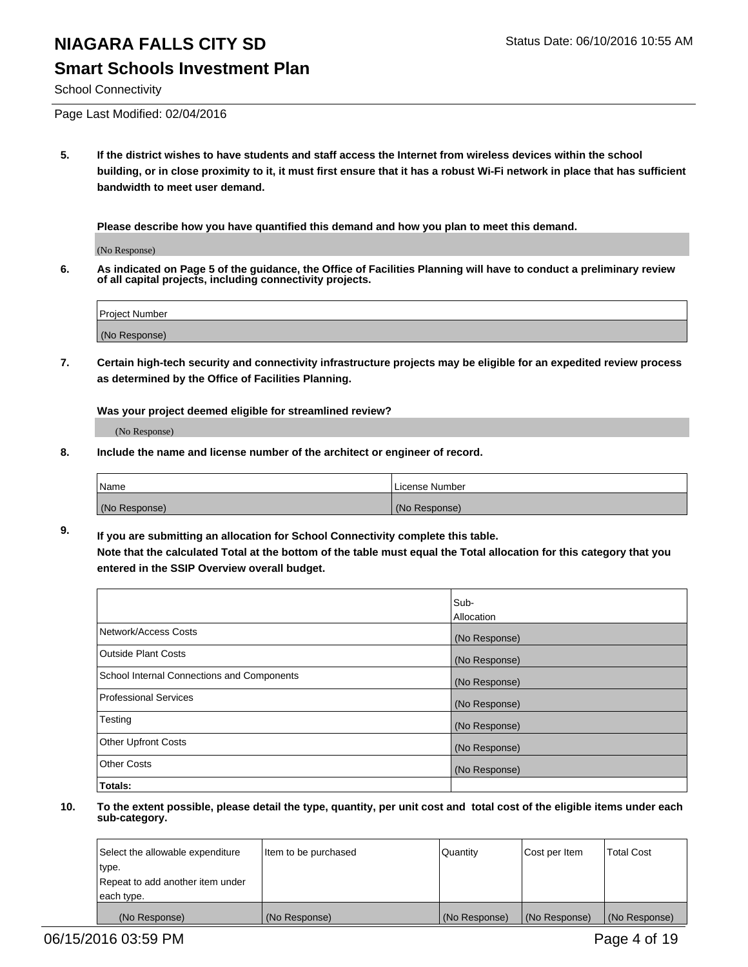### **Smart Schools Investment Plan**

School Connectivity

Page Last Modified: 02/04/2016

**5. If the district wishes to have students and staff access the Internet from wireless devices within the school building, or in close proximity to it, it must first ensure that it has a robust Wi-Fi network in place that has sufficient bandwidth to meet user demand.**

**Please describe how you have quantified this demand and how you plan to meet this demand.**

(No Response)

**6. As indicated on Page 5 of the guidance, the Office of Facilities Planning will have to conduct a preliminary review of all capital projects, including connectivity projects.**

| <b>Project Number</b> |  |
|-----------------------|--|
|                       |  |
| (No Response)         |  |

**7. Certain high-tech security and connectivity infrastructure projects may be eligible for an expedited review process as determined by the Office of Facilities Planning.**

**Was your project deemed eligible for streamlined review?**

(No Response)

**8. Include the name and license number of the architect or engineer of record.**

| <b>Name</b>   | License Number |
|---------------|----------------|
| (No Response) | (No Response)  |

**9. If you are submitting an allocation for School Connectivity complete this table. Note that the calculated Total at the bottom of the table must equal the Total allocation for this category that you entered in the SSIP Overview overall budget.** 

|                                            | Sub-          |
|--------------------------------------------|---------------|
|                                            | Allocation    |
| Network/Access Costs                       | (No Response) |
| <b>Outside Plant Costs</b>                 | (No Response) |
| School Internal Connections and Components | (No Response) |
| Professional Services                      | (No Response) |
| Testing                                    | (No Response) |
| <b>Other Upfront Costs</b>                 | (No Response) |
| <b>Other Costs</b>                         | (No Response) |
| Totals:                                    |               |

| Select the allowable expenditure | Item to be purchased | Quantity      | Cost per Item | <b>Total Cost</b> |
|----------------------------------|----------------------|---------------|---------------|-------------------|
| type.                            |                      |               |               |                   |
| Repeat to add another item under |                      |               |               |                   |
| each type.                       |                      |               |               |                   |
| (No Response)                    | (No Response)        | (No Response) | (No Response) | (No Response)     |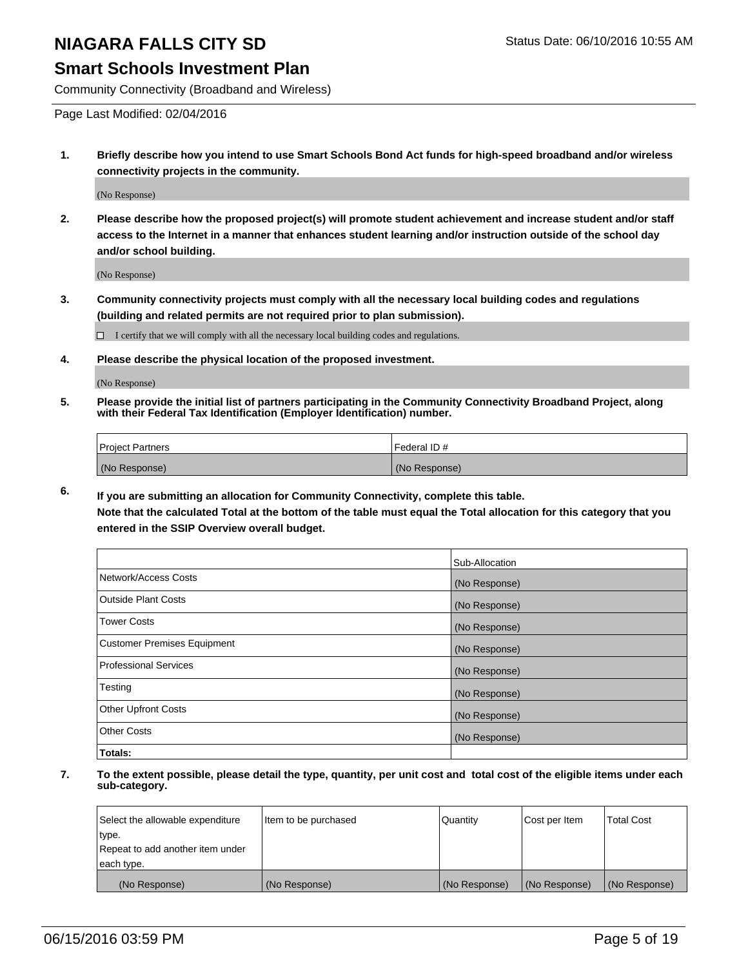### **Smart Schools Investment Plan**

Community Connectivity (Broadband and Wireless)

Page Last Modified: 02/04/2016

**1. Briefly describe how you intend to use Smart Schools Bond Act funds for high-speed broadband and/or wireless connectivity projects in the community.**

(No Response)

**2. Please describe how the proposed project(s) will promote student achievement and increase student and/or staff access to the Internet in a manner that enhances student learning and/or instruction outside of the school day and/or school building.**

(No Response)

**3. Community connectivity projects must comply with all the necessary local building codes and regulations (building and related permits are not required prior to plan submission).**

 $\Box$  I certify that we will comply with all the necessary local building codes and regulations.

**4. Please describe the physical location of the proposed investment.**

(No Response)

**5. Please provide the initial list of partners participating in the Community Connectivity Broadband Project, along with their Federal Tax Identification (Employer Identification) number.**

| Project Partners | I Federal ID # |
|------------------|----------------|
| (No Response)    | (No Response)  |

**6. If you are submitting an allocation for Community Connectivity, complete this table.**

**Note that the calculated Total at the bottom of the table must equal the Total allocation for this category that you entered in the SSIP Overview overall budget.**

|                             | Sub-Allocation |
|-----------------------------|----------------|
| Network/Access Costs        | (No Response)  |
| Outside Plant Costs         | (No Response)  |
| <b>Tower Costs</b>          | (No Response)  |
| Customer Premises Equipment | (No Response)  |
| Professional Services       | (No Response)  |
| Testing                     | (No Response)  |
| Other Upfront Costs         | (No Response)  |
| Other Costs                 | (No Response)  |
| Totals:                     |                |

| Select the allowable expenditure | Item to be purchased | Quantity      | Cost per Item | <b>Total Cost</b> |
|----------------------------------|----------------------|---------------|---------------|-------------------|
| type.                            |                      |               |               |                   |
| Repeat to add another item under |                      |               |               |                   |
| each type.                       |                      |               |               |                   |
| (No Response)                    | (No Response)        | (No Response) | (No Response) | (No Response)     |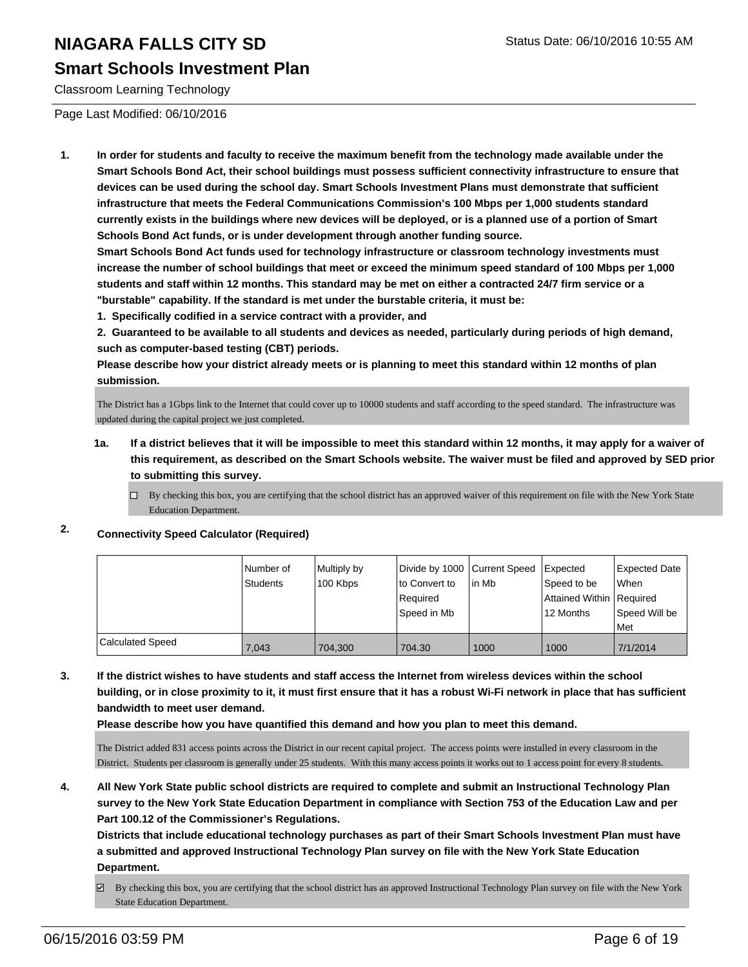### **Smart Schools Investment Plan**

Classroom Learning Technology

Page Last Modified: 06/10/2016

**1. In order for students and faculty to receive the maximum benefit from the technology made available under the Smart Schools Bond Act, their school buildings must possess sufficient connectivity infrastructure to ensure that devices can be used during the school day. Smart Schools Investment Plans must demonstrate that sufficient infrastructure that meets the Federal Communications Commission's 100 Mbps per 1,000 students standard currently exists in the buildings where new devices will be deployed, or is a planned use of a portion of Smart Schools Bond Act funds, or is under development through another funding source.**

**Smart Schools Bond Act funds used for technology infrastructure or classroom technology investments must increase the number of school buildings that meet or exceed the minimum speed standard of 100 Mbps per 1,000 students and staff within 12 months. This standard may be met on either a contracted 24/7 firm service or a "burstable" capability. If the standard is met under the burstable criteria, it must be:**

**1. Specifically codified in a service contract with a provider, and**

**2. Guaranteed to be available to all students and devices as needed, particularly during periods of high demand, such as computer-based testing (CBT) periods.**

**Please describe how your district already meets or is planning to meet this standard within 12 months of plan submission.**

The District has a 1Gbps link to the Internet that could cover up to 10000 students and staff according to the speed standard. The infrastructure was updated during the capital project we just completed.

- **1a. If a district believes that it will be impossible to meet this standard within 12 months, it may apply for a waiver of this requirement, as described on the Smart Schools website. The waiver must be filed and approved by SED prior to submitting this survey.**
	- $\Box$  By checking this box, you are certifying that the school district has an approved waiver of this requirement on file with the New York State Education Department.

### **2. Connectivity Speed Calculator (Required)**

|                         | Number of<br>Students | Multiply by<br>100 Kbps | Divide by 1000 Current Speed<br>Ito Convert to<br>Required<br> Speed in Mb | lin Mb | <b>I</b> Expected<br>Speed to be<br>Attained Within Required<br>12 Months | <b>Expected Date</b><br><b>When</b><br>Speed Will be<br>l Met |
|-------------------------|-----------------------|-------------------------|----------------------------------------------------------------------------|--------|---------------------------------------------------------------------------|---------------------------------------------------------------|
| <b>Calculated Speed</b> | 7.043                 | 704.300                 | 704.30                                                                     | 1000   | 1000                                                                      | 7/1/2014                                                      |

**3. If the district wishes to have students and staff access the Internet from wireless devices within the school building, or in close proximity to it, it must first ensure that it has a robust Wi-Fi network in place that has sufficient bandwidth to meet user demand.**

**Please describe how you have quantified this demand and how you plan to meet this demand.**

The District added 831 access points across the District in our recent capital project. The access points were installed in every classroom in the District. Students per classroom is generally under 25 students. With this many access points it works out to 1 access point for every 8 students.

**4. All New York State public school districts are required to complete and submit an Instructional Technology Plan survey to the New York State Education Department in compliance with Section 753 of the Education Law and per Part 100.12 of the Commissioner's Regulations.**

**Districts that include educational technology purchases as part of their Smart Schools Investment Plan must have a submitted and approved Instructional Technology Plan survey on file with the New York State Education Department.**

By checking this box, you are certifying that the school district has an approved Instructional Technology Plan survey on file with the New York State Education Department.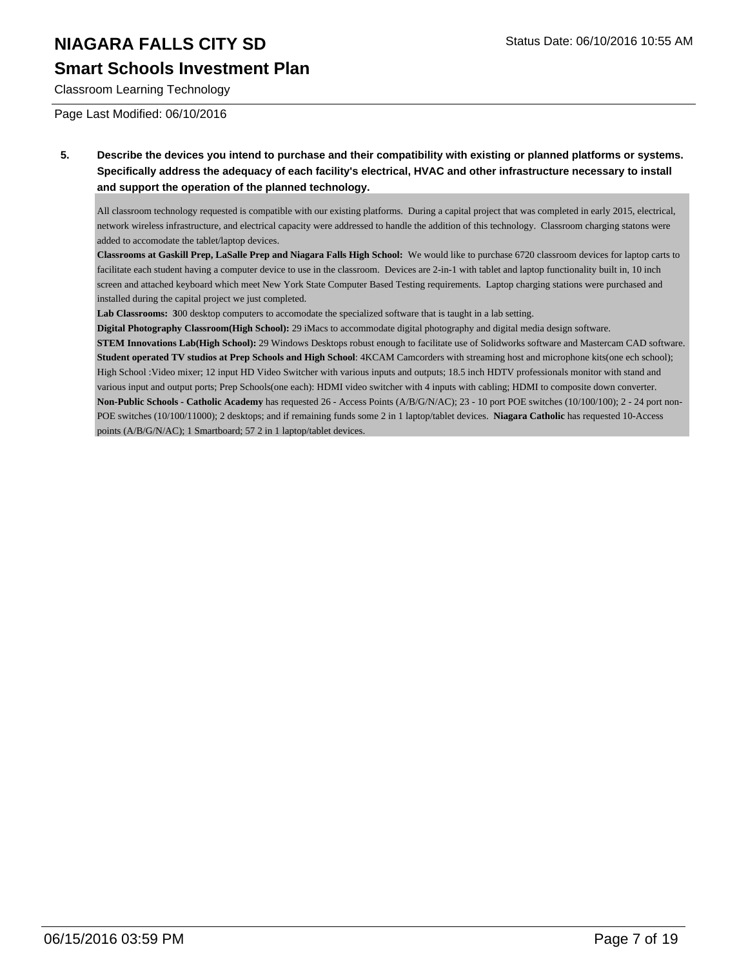### **Smart Schools Investment Plan**

Classroom Learning Technology

Page Last Modified: 06/10/2016

**5. Describe the devices you intend to purchase and their compatibility with existing or planned platforms or systems. Specifically address the adequacy of each facility's electrical, HVAC and other infrastructure necessary to install and support the operation of the planned technology.**

All classroom technology requested is compatible with our existing platforms. During a capital project that was completed in early 2015, electrical, network wireless infrastructure, and electrical capacity were addressed to handle the addition of this technology. Classroom charging statons were added to accomodate the tablet/laptop devices.

**Classrooms at Gaskill Prep, LaSalle Prep and Niagara Falls High School:** We would like to purchase 6720 classroom devices for laptop carts to facilitate each student having a computer device to use in the classroom. Devices are 2-in-1 with tablet and laptop functionality built in, 10 inch screen and attached keyboard which meet New York State Computer Based Testing requirements. Laptop charging stations were purchased and installed during the capital project we just completed.

**Lab Classrooms: 3**00 desktop computers to accomodate the specialized software that is taught in a lab setting.

**Digital Photography Classroom(High School):** 29 iMacs to accommodate digital photography and digital media design software.

**STEM Innovations Lab(High School):** 29 Windows Desktops robust enough to facilitate use of Solidworks software and Mastercam CAD software. **Student operated TV studios at Prep Schools and High School**: 4KCAM Camcorders with streaming host and microphone kits(one ech school); High School :Video mixer; 12 input HD Video Switcher with various inputs and outputs; 18.5 inch HDTV professionals monitor with stand and various input and output ports; Prep Schools(one each): HDMI video switcher with 4 inputs with cabling; HDMI to composite down converter. **Non-Public Schools - Catholic Academy** has requested 26 - Access Points (A/B/G/N/AC); 23 - 10 port POE switches (10/100/100); 2 - 24 port non-POE switches (10/100/11000); 2 desktops; and if remaining funds some 2 in 1 laptop/tablet devices. **Niagara Catholic** has requested 10-Access points (A/B/G/N/AC); 1 Smartboard; 57 2 in 1 laptop/tablet devices.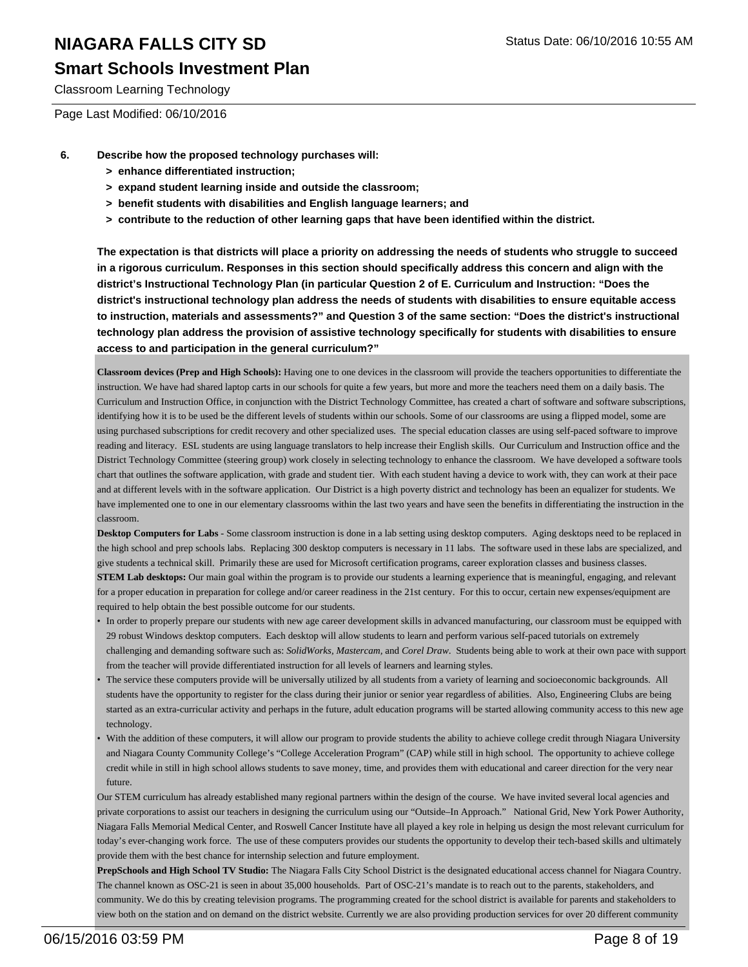### **Smart Schools Investment Plan**

Classroom Learning Technology

Page Last Modified: 06/10/2016

- **6. Describe how the proposed technology purchases will:**
	- **> enhance differentiated instruction;**
	- **> expand student learning inside and outside the classroom;**
	- **> benefit students with disabilities and English language learners; and**
	- **> contribute to the reduction of other learning gaps that have been identified within the district.**

**The expectation is that districts will place a priority on addressing the needs of students who struggle to succeed in a rigorous curriculum. Responses in this section should specifically address this concern and align with the district's Instructional Technology Plan (in particular Question 2 of E. Curriculum and Instruction: "Does the district's instructional technology plan address the needs of students with disabilities to ensure equitable access to instruction, materials and assessments?" and Question 3 of the same section: "Does the district's instructional technology plan address the provision of assistive technology specifically for students with disabilities to ensure access to and participation in the general curriculum?"**

**Classroom devices (Prep and High Schools):** Having one to one devices in the classroom will provide the teachers opportunities to differentiate the instruction. We have had shared laptop carts in our schools for quite a few years, but more and more the teachers need them on a daily basis. The Curriculum and Instruction Office, in conjunction with the District Technology Committee, has created a chart of software and software subscriptions, identifying how it is to be used be the different levels of students within our schools. Some of our classrooms are using a flipped model, some are using purchased subscriptions for credit recovery and other specialized uses. The special education classes are using self-paced software to improve reading and literacy. ESL students are using language translators to help increase their English skills. Our Curriculum and Instruction office and the District Technology Committee (steering group) work closely in selecting technology to enhance the classroom. We have developed a software tools chart that outlines the software application, with grade and student tier. With each student having a device to work with, they can work at their pace and at different levels with in the software application. Our District is a high poverty district and technology has been an equalizer for students. We have implemented one to one in our elementary classrooms within the last two years and have seen the benefits in differentiating the instruction in the classroom.

**Desktop Computers for Labs** - Some classroom instruction is done in a lab setting using desktop computers. Aging desktops need to be replaced in the high school and prep schools labs. Replacing 300 desktop computers is necessary in 11 labs. The software used in these labs are specialized, and give students a technical skill. Primarily these are used for Microsoft certification programs, career exploration classes and business classes.

**STEM Lab desktops:** Our main goal within the program is to provide our students a learning experience that is meaningful, engaging, and relevant for a proper education in preparation for college and/or career readiness in the 21st century. For this to occur, certain new expenses/equipment are required to help obtain the best possible outcome for our students.

- In order to properly prepare our students with new age career development skills in advanced manufacturing, our classroom must be equipped with 29 robust Windows desktop computers. Each desktop will allow students to learn and perform various self-paced tutorials on extremely challenging and demanding software such as: *SolidWorks, Mastercam,* and *Corel Draw*. Students being able to work at their own pace with support from the teacher will provide differentiated instruction for all levels of learners and learning styles.
- The service these computers provide will be universally utilized by all students from a variety of learning and socioeconomic backgrounds. All students have the opportunity to register for the class during their junior or senior year regardless of abilities. Also, Engineering Clubs are being started as an extra-curricular activity and perhaps in the future, adult education programs will be started allowing community access to this new age technology. •
- With the addition of these computers, it will allow our program to provide students the ability to achieve college credit through Niagara University and Niagara County Community College's "College Acceleration Program" (CAP) while still in high school. The opportunity to achieve college credit while in still in high school allows students to save money, time, and provides them with educational and career direction for the very near future. •

Our STEM curriculum has already established many regional partners within the design of the course. We have invited several local agencies and private corporations to assist our teachers in designing the curriculum using our "Outside–In Approach." National Grid, New York Power Authority, Niagara Falls Memorial Medical Center, and Roswell Cancer Institute have all played a key role in helping us design the most relevant curriculum for today's ever-changing work force. The use of these computers provides our students the opportunity to develop their tech-based skills and ultimately provide them with the best chance for internship selection and future employment.

**PrepSchools and High School TV Studio:** The Niagara Falls City School District is the designated educational access channel for Niagara Country. The channel known as OSC-21 is seen in about 35,000 households. Part of OSC-21's mandate is to reach out to the parents, stakeholders, and community. We do this by creating television programs. The programming created for the school district is available for parents and stakeholders to view both on the station and on demand on the district website. Currently we are also providing production services for over 20 different community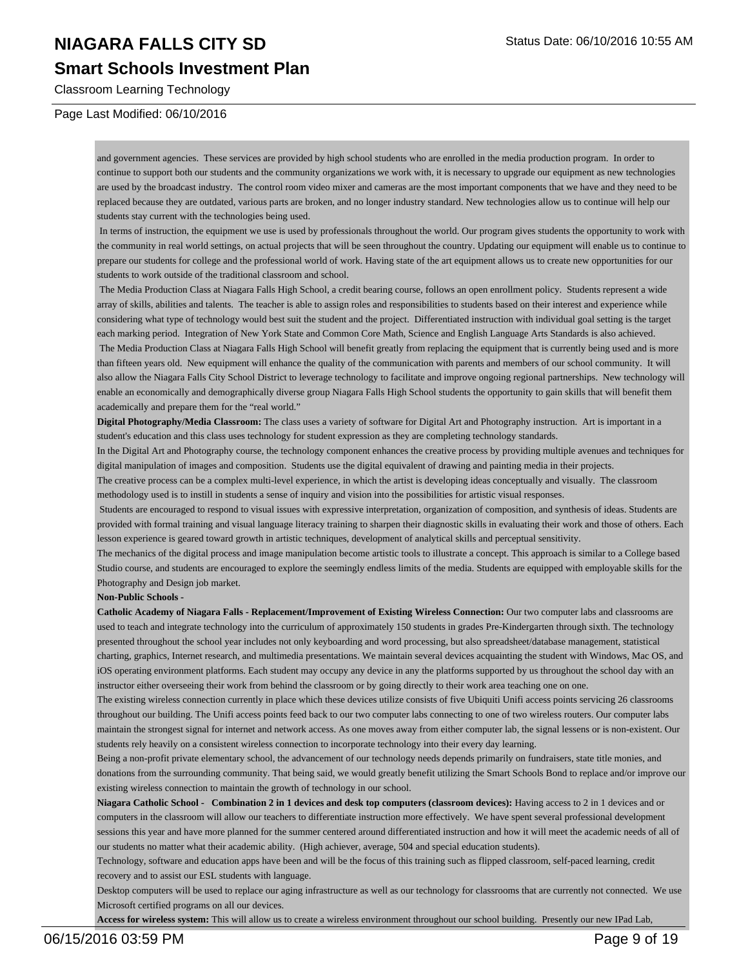### **Smart Schools Investment Plan**

Classroom Learning Technology

#### Page Last Modified: 06/10/2016

and government agencies. These services are provided by high school students who are enrolled in the media production program. In order to continue to support both our students and the community organizations we work with, it is necessary to upgrade our equipment as new technologies are used by the broadcast industry. The control room video mixer and cameras are the most important components that we have and they need to be replaced because they are outdated, various parts are broken, and no longer industry standard. New technologies allow us to continue will help our students stay current with the technologies being used.

 In terms of instruction, the equipment we use is used by professionals throughout the world. Our program gives students the opportunity to work with the community in real world settings, on actual projects that will be seen throughout the country. Updating our equipment will enable us to continue to prepare our students for college and the professional world of work. Having state of the art equipment allows us to create new opportunities for our students to work outside of the traditional classroom and school.

 The Media Production Class at Niagara Falls High School, a credit bearing course, follows an open enrollment policy. Students represent a wide array of skills, abilities and talents. The teacher is able to assign roles and responsibilities to students based on their interest and experience while considering what type of technology would best suit the student and the project. Differentiated instruction with individual goal setting is the target each marking period. Integration of New York State and Common Core Math, Science and English Language Arts Standards is also achieved. The Media Production Class at Niagara Falls High School will benefit greatly from replacing the equipment that is currently being used and is more than fifteen years old. New equipment will enhance the quality of the communication with parents and members of our school community. It will also allow the Niagara Falls City School District to leverage technology to facilitate and improve ongoing regional partnerships. New technology will enable an economically and demographically diverse group Niagara Falls High School students the opportunity to gain skills that will benefit them academically and prepare them for the "real world."

**Digital Photography/Media Classroom:** The class uses a variety of software for Digital Art and Photography instruction. Art is important in a student's education and this class uses technology for student expression as they are completing technology standards.

In the Digital Art and Photography course, the technology component enhances the creative process by providing multiple avenues and techniques for digital manipulation of images and composition. Students use the digital equivalent of drawing and painting media in their projects.

The creative process can be a complex multi-level experience, in which the artist is developing ideas conceptually and visually. The classroom methodology used is to instill in students a sense of inquiry and vision into the possibilities for artistic visual responses.

 Students are encouraged to respond to visual issues with expressive interpretation, organization of composition, and synthesis of ideas. Students are provided with formal training and visual language literacy training to sharpen their diagnostic skills in evaluating their work and those of others. Each lesson experience is geared toward growth in artistic techniques, development of analytical skills and perceptual sensitivity.

The mechanics of the digital process and image manipulation become artistic tools to illustrate a concept. This approach is similar to a College based Studio course, and students are encouraged to explore the seemingly endless limits of the media. Students are equipped with employable skills for the Photography and Design job market.

#### **Non-Public Schools -**

**Catholic Academy of Niagara Falls - Replacement/Improvement of Existing Wireless Connection:** Our two computer labs and classrooms are used to teach and integrate technology into the curriculum of approximately 150 students in grades Pre-Kindergarten through sixth. The technology presented throughout the school year includes not only keyboarding and word processing, but also spreadsheet/database management, statistical charting, graphics, Internet research, and multimedia presentations. We maintain several devices acquainting the student with Windows, Mac OS, and iOS operating environment platforms. Each student may occupy any device in any the platforms supported by us throughout the school day with an instructor either overseeing their work from behind the classroom or by going directly to their work area teaching one on one.

The existing wireless connection currently in place which these devices utilize consists of five Ubiquiti Unifi access points servicing 26 classrooms throughout our building. The Unifi access points feed back to our two computer labs connecting to one of two wireless routers. Our computer labs maintain the strongest signal for internet and network access. As one moves away from either computer lab, the signal lessens or is non-existent. Our students rely heavily on a consistent wireless connection to incorporate technology into their every day learning.

Being a non-profit private elementary school, the advancement of our technology needs depends primarily on fundraisers, state title monies, and donations from the surrounding community. That being said, we would greatly benefit utilizing the Smart Schools Bond to replace and/or improve our existing wireless connection to maintain the growth of technology in our school.

Niagara Catholic School - Combination 2 in 1 devices and desk top computers (classroom devices): Having access to 2 in 1 devices and or computers in the classroom will allow our teachers to differentiate instruction more effectively. We have spent several professional development sessions this year and have more planned for the summer centered around differentiated instruction and how it will meet the academic needs of all of our students no matter what their academic ability. (High achiever, average, 504 and special education students).

Technology, software and education apps have been and will be the focus of this training such as flipped classroom, self-paced learning, credit recovery and to assist our ESL students with language.

Desktop computers will be used to replace our aging infrastructure as well as our technology for classrooms that are currently not connected. We use Microsoft certified programs on all our devices.

**Access for wireless system:** This will allow us to create a wireless environment throughout our school building. Presently our new IPad Lab,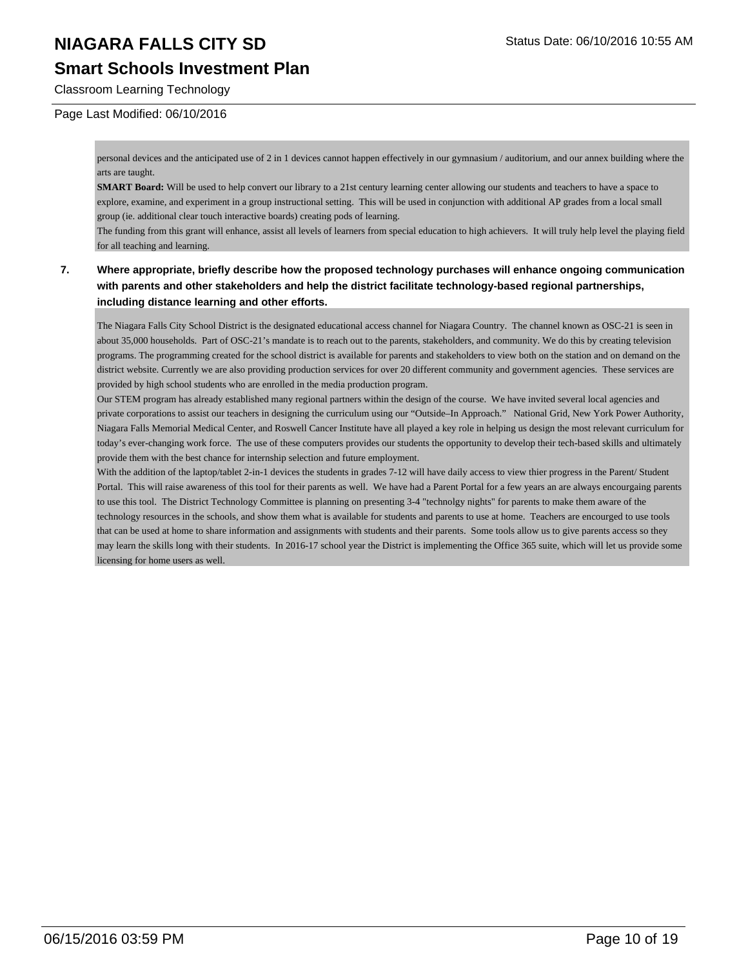## **Smart Schools Investment Plan**

Classroom Learning Technology

#### Page Last Modified: 06/10/2016

personal devices and the anticipated use of 2 in 1 devices cannot happen effectively in our gymnasium / auditorium, and our annex building where the arts are taught.

**SMART Board:** Will be used to help convert our library to a 21st century learning center allowing our students and teachers to have a space to explore, examine, and experiment in a group instructional setting. This will be used in conjunction with additional AP grades from a local small group (ie. additional clear touch interactive boards) creating pods of learning.

The funding from this grant will enhance, assist all levels of learners from special education to high achievers. It will truly help level the playing field for all teaching and learning.

#### **7. Where appropriate, briefly describe how the proposed technology purchases will enhance ongoing communication with parents and other stakeholders and help the district facilitate technology-based regional partnerships, including distance learning and other efforts.**

The Niagara Falls City School District is the designated educational access channel for Niagara Country. The channel known as OSC-21 is seen in about 35,000 households. Part of OSC-21's mandate is to reach out to the parents, stakeholders, and community. We do this by creating television programs. The programming created for the school district is available for parents and stakeholders to view both on the station and on demand on the district website. Currently we are also providing production services for over 20 different community and government agencies. These services are provided by high school students who are enrolled in the media production program.

Our STEM program has already established many regional partners within the design of the course. We have invited several local agencies and private corporations to assist our teachers in designing the curriculum using our "Outside–In Approach." National Grid, New York Power Authority, Niagara Falls Memorial Medical Center, and Roswell Cancer Institute have all played a key role in helping us design the most relevant curriculum for today's ever-changing work force. The use of these computers provides our students the opportunity to develop their tech-based skills and ultimately provide them with the best chance for internship selection and future employment.

With the addition of the laptop/tablet 2-in-1 devices the students in grades 7-12 will have daily access to view thier progress in the Parent/ Student Portal. This will raise awareness of this tool for their parents as well. We have had a Parent Portal for a few years an are always encourgaing parents to use this tool. The District Technology Committee is planning on presenting 3-4 "technolgy nights" for parents to make them aware of the technology resources in the schools, and show them what is available for students and parents to use at home. Teachers are encourged to use tools that can be used at home to share information and assignments with students and their parents. Some tools allow us to give parents access so they may learn the skills long with their students. In 2016-17 school year the District is implementing the Office 365 suite, which will let us provide some licensing for home users as well.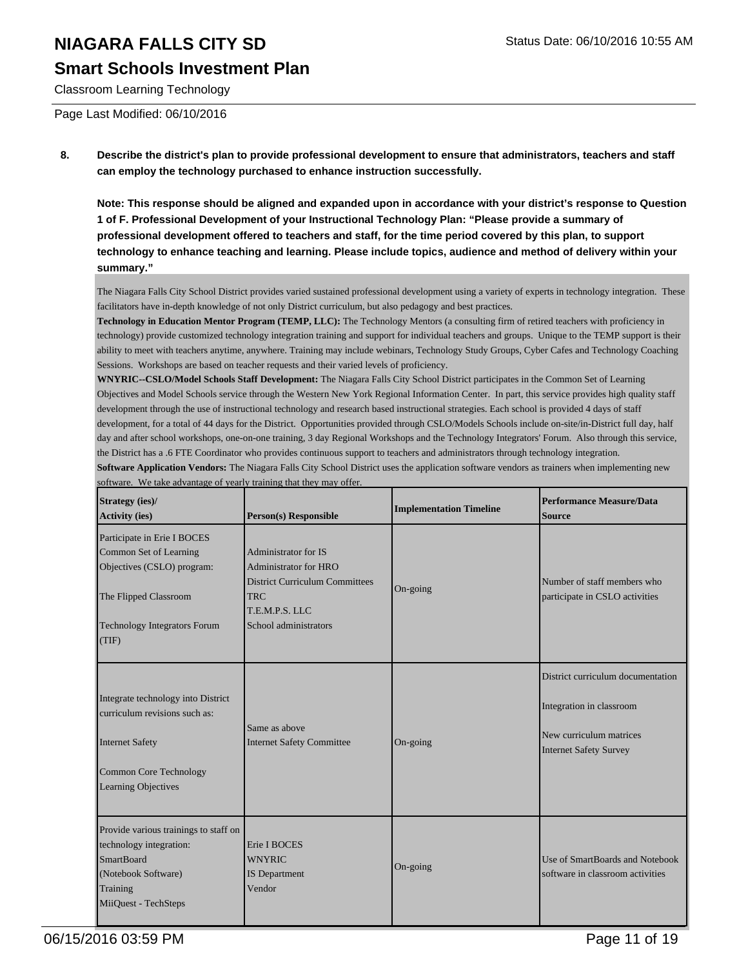### **Smart Schools Investment Plan**

Classroom Learning Technology

Page Last Modified: 06/10/2016

**8. Describe the district's plan to provide professional development to ensure that administrators, teachers and staff can employ the technology purchased to enhance instruction successfully.**

**Note: This response should be aligned and expanded upon in accordance with your district's response to Question 1 of F. Professional Development of your Instructional Technology Plan: "Please provide a summary of professional development offered to teachers and staff, for the time period covered by this plan, to support technology to enhance teaching and learning. Please include topics, audience and method of delivery within your summary."**

The Niagara Falls City School District provides varied sustained professional development using a variety of experts in technology integration. These facilitators have in-depth knowledge of not only District curriculum, but also pedagogy and best practices.

**Technology in Education Mentor Program (TEMP, LLC):** The Technology Mentors (a consulting firm of retired teachers with proficiency in technology) provide customized technology integration training and support for individual teachers and groups. Unique to the TEMP support is their ability to meet with teachers anytime, anywhere. Training may include webinars, Technology Study Groups, Cyber Cafes and Technology Coaching Sessions. Workshops are based on teacher requests and their varied levels of proficiency.

**WNYRIC--CSLO/Model Schools Staff Development:** The Niagara Falls City School District participates in the Common Set of Learning Objectives and Model Schools service through the Western New York Regional Information Center. In part, this service provides high quality staff development through the use of instructional technology and research based instructional strategies. Each school is provided 4 days of staff development, for a total of 44 days for the District. Opportunities provided through CSLO/Models Schools include on-site/in-District full day, half day and after school workshops, one-on-one training, 3 day Regional Workshops and the Technology Integrators' Forum. Also through this service, the District has a .6 FTE Coordinator who provides continuous support to teachers and administrators through technology integration.

**Software Application Vendors:** The Niagara Falls City School District uses the application software vendors as trainers when implementing new software. We take advantage of yearly training that they may offer.

| <b>Strategy</b> (ies)/<br><b>Activity (ies)</b>                                                                                                              | <b>Person(s)</b> Responsible                                                                                                                           | <b>Implementation Timeline</b> | <b>Performance Measure/Data</b><br>Source                                                                                 |
|--------------------------------------------------------------------------------------------------------------------------------------------------------------|--------------------------------------------------------------------------------------------------------------------------------------------------------|--------------------------------|---------------------------------------------------------------------------------------------------------------------------|
| Participate in Erie I BOCES<br>Common Set of Learning<br>Objectives (CSLO) program:<br>The Flipped Classroom<br><b>Technology Integrators Forum</b><br>(TIF) | <b>Administrator for IS</b><br>Administrator for HRO<br><b>District Curriculum Committees</b><br><b>TRC</b><br>T.E.M.P.S. LLC<br>School administrators | On-going                       | Number of staff members who<br>participate in CSLO activities                                                             |
| Integrate technology into District<br>curriculum revisions such as:<br>Internet Safety<br>Common Core Technology<br><b>Learning Objectives</b>               | Same as above<br><b>Internet Safety Committee</b>                                                                                                      | On-going                       | District curriculum documentation<br>Integration in classroom<br>New curriculum matrices<br><b>Internet Safety Survey</b> |
| Provide various trainings to staff on<br>technology integration:<br><b>SmartBoard</b><br>(Notebook Software)<br>Training<br>MiiQuest - TechSteps             | Erie I BOCES<br><b>WNYRIC</b><br><b>IS</b> Department<br>Vendor                                                                                        | On-going                       | Use of SmartBoards and Notebook<br>software in classroom activities                                                       |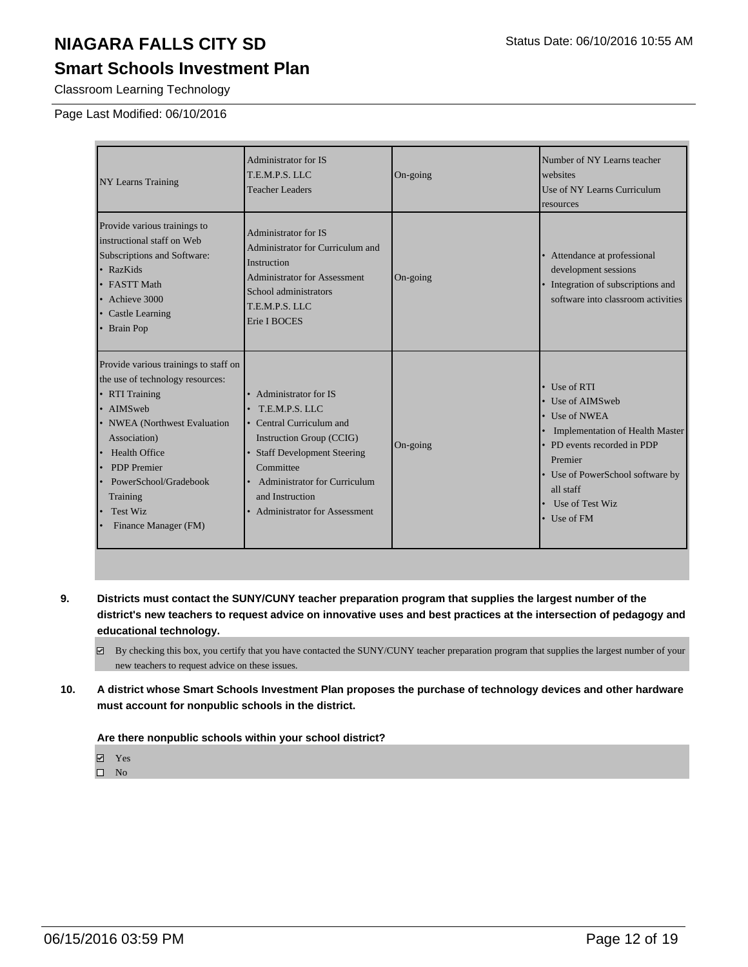## **Smart Schools Investment Plan**

Classroom Learning Technology

#### Page Last Modified: 06/10/2016

| <b>NY Learns Training</b>                                                                                                                                                                                                                                                                                                                                                                                                                                                                                                         | Administrator for IS<br>T.E.M.P.S. LLC<br><b>Teacher Leaders</b>                                                                                                          | On-going | Number of NY Learns teacher<br>websites<br>Use of NY Learns Curriculum<br>resources                                                                                                                                                       |
|-----------------------------------------------------------------------------------------------------------------------------------------------------------------------------------------------------------------------------------------------------------------------------------------------------------------------------------------------------------------------------------------------------------------------------------------------------------------------------------------------------------------------------------|---------------------------------------------------------------------------------------------------------------------------------------------------------------------------|----------|-------------------------------------------------------------------------------------------------------------------------------------------------------------------------------------------------------------------------------------------|
| Provide various trainings to<br>instructional staff on Web<br>Subscriptions and Software:<br>$\cdot$ RazKids<br>• FASTT Math<br>$\bullet$ Achieve 3000<br>• Castle Learning<br>• Brain Pop                                                                                                                                                                                                                                                                                                                                        | Administrator for IS<br>Administrator for Curriculum and<br>Instruction<br><b>Administrator for Assessment</b><br>School administrators<br>T.E.M.P.S. LLC<br>Erie I BOCES | On-going | Attendance at professional<br>development sessions<br>Integration of subscriptions and<br>software into classroom activities                                                                                                              |
| Provide various trainings to staff on<br>the use of technology resources:<br>• RTI Training<br>• Administrator for IS<br>• AIMSweb<br>T.E.M.P.S. LLC<br>• NWEA (Northwest Evaluation<br>• Central Curriculum and<br>Association)<br>Instruction Group (CCIG)<br>• Staff Development Steering<br><b>Health Office</b><br><b>PDP</b> Premier<br>Committee<br>PowerSchool/Gradebook<br><b>Administrator for Curriculum</b><br>and Instruction<br>Training<br>Test Wiz<br><b>Administrator for Assessment</b><br>Finance Manager (FM) |                                                                                                                                                                           | On-going | $\bullet$ Use of RTI<br>• Use of AIMSweb<br>$\bullet$ Use of NWEA<br>Implementation of Health Master<br>• PD events recorded in PDP<br>Premier<br>• Use of PowerSchool software by<br>all staff<br>Use of Test Wiz<br>$\bullet$ Use of FM |

- **9. Districts must contact the SUNY/CUNY teacher preparation program that supplies the largest number of the district's new teachers to request advice on innovative uses and best practices at the intersection of pedagogy and educational technology.**
	- $\boxdot$  By checking this box, you certify that you have contacted the SUNY/CUNY teacher preparation program that supplies the largest number of your new teachers to request advice on these issues.
- **10. A district whose Smart Schools Investment Plan proposes the purchase of technology devices and other hardware must account for nonpublic schools in the district.**

#### **Are there nonpublic schools within your school district?**

 $\hfill \square$  No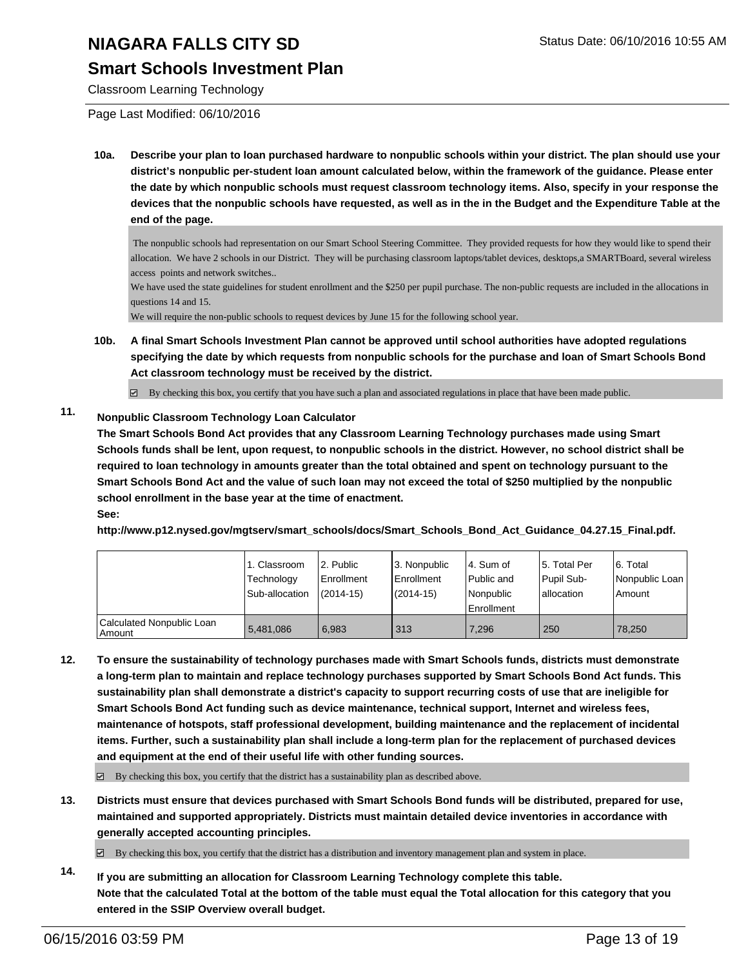### **Smart Schools Investment Plan**

Classroom Learning Technology

Page Last Modified: 06/10/2016

**10a. Describe your plan to loan purchased hardware to nonpublic schools within your district. The plan should use your district's nonpublic per-student loan amount calculated below, within the framework of the guidance. Please enter the date by which nonpublic schools must request classroom technology items. Also, specify in your response the devices that the nonpublic schools have requested, as well as in the in the Budget and the Expenditure Table at the end of the page.**

 The nonpublic schools had representation on our Smart School Steering Committee. They provided requests for how they would like to spend their allocation. We have 2 schools in our District. They will be purchasing classroom laptops/tablet devices, desktops,a SMARTBoard, several wireless access points and network switches..

We have used the state guidelines for student enrollment and the \$250 per pupil purchase. The non-public requests are included in the allocations in questions 14 and 15.

We will require the non-public schools to request devices by June 15 for the following school year.

**10b. A final Smart Schools Investment Plan cannot be approved until school authorities have adopted regulations specifying the date by which requests from nonpublic schools for the purchase and loan of Smart Schools Bond Act classroom technology must be received by the district.**

 $\boxtimes$  By checking this box, you certify that you have such a plan and associated regulations in place that have been made public.

### **11. Nonpublic Classroom Technology Loan Calculator**

**The Smart Schools Bond Act provides that any Classroom Learning Technology purchases made using Smart Schools funds shall be lent, upon request, to nonpublic schools in the district. However, no school district shall be required to loan technology in amounts greater than the total obtained and spent on technology pursuant to the Smart Schools Bond Act and the value of such loan may not exceed the total of \$250 multiplied by the nonpublic school enrollment in the base year at the time of enactment. See:**

**http://www.p12.nysed.gov/mgtserv/smart\_schools/docs/Smart\_Schools\_Bond\_Act\_Guidance\_04.27.15\_Final.pdf.**

|                                       | 1. Classroom<br>Technology<br>Sub-allocation | 2. Public<br>Enrollment<br>$(2014 - 15)$ | 3. Nonpublic<br>Enrollment<br>$(2014 - 15)$ | l 4. Sum of<br>Public and<br>Nonpublic<br>Enrollment | l 5. Total Per<br>Pupil Sub-<br>lallocation | 6. Total<br>Nonpublic Loan<br>Amount |
|---------------------------------------|----------------------------------------------|------------------------------------------|---------------------------------------------|------------------------------------------------------|---------------------------------------------|--------------------------------------|
| Calculated Nonpublic Loan<br>  Amount | 5,481,086                                    | 6.983                                    | 313                                         | 7.296                                                | 250                                         | 78.250                               |

**12. To ensure the sustainability of technology purchases made with Smart Schools funds, districts must demonstrate a long-term plan to maintain and replace technology purchases supported by Smart Schools Bond Act funds. This sustainability plan shall demonstrate a district's capacity to support recurring costs of use that are ineligible for Smart Schools Bond Act funding such as device maintenance, technical support, Internet and wireless fees, maintenance of hotspots, staff professional development, building maintenance and the replacement of incidental items. Further, such a sustainability plan shall include a long-term plan for the replacement of purchased devices and equipment at the end of their useful life with other funding sources.**

 $\boxtimes$  By checking this box, you certify that the district has a sustainability plan as described above.

**13. Districts must ensure that devices purchased with Smart Schools Bond funds will be distributed, prepared for use, maintained and supported appropriately. Districts must maintain detailed device inventories in accordance with generally accepted accounting principles.**

 $\boxtimes$  By checking this box, you certify that the district has a distribution and inventory management plan and system in place.

**14. If you are submitting an allocation for Classroom Learning Technology complete this table. Note that the calculated Total at the bottom of the table must equal the Total allocation for this category that you entered in the SSIP Overview overall budget.**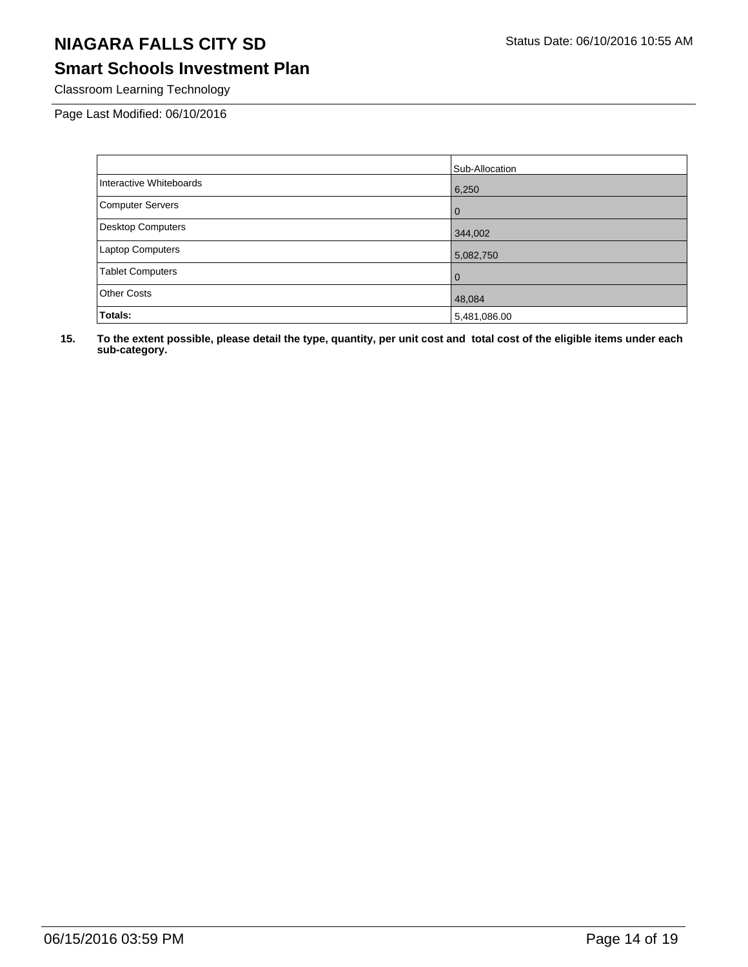# **Smart Schools Investment Plan**

Classroom Learning Technology

Page Last Modified: 06/10/2016

|                          | Sub-Allocation |
|--------------------------|----------------|
| Interactive Whiteboards  | 6,250          |
| <b>Computer Servers</b>  | $\overline{0}$ |
| <b>Desktop Computers</b> | 344,002        |
| <b>Laptop Computers</b>  | 5,082,750      |
| <b>Tablet Computers</b>  | l 0            |
| Other Costs              | 48,084         |
| Totals:                  | 5,481,086.00   |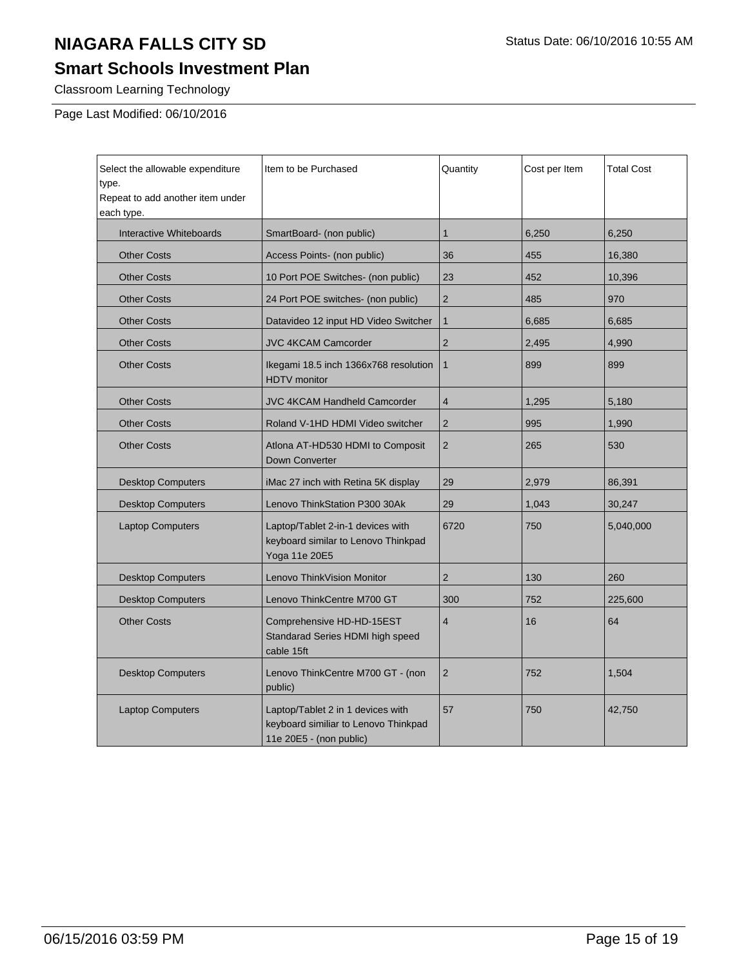# **Smart Schools Investment Plan**

Classroom Learning Technology

Page Last Modified: 06/10/2016

| Select the allowable expenditure<br>type.<br>Repeat to add another item under<br>each type. | Item to be Purchased                                                                                 | Quantity       | Cost per Item | <b>Total Cost</b> |
|---------------------------------------------------------------------------------------------|------------------------------------------------------------------------------------------------------|----------------|---------------|-------------------|
| Interactive Whiteboards                                                                     | SmartBoard- (non public)                                                                             | $\mathbf{1}$   | 6,250         | 6,250             |
| <b>Other Costs</b>                                                                          | Access Points- (non public)                                                                          | 36             | 455           | 16,380            |
| <b>Other Costs</b>                                                                          | 10 Port POE Switches- (non public)                                                                   | 23             | 452           | 10,396            |
| <b>Other Costs</b>                                                                          | 24 Port POE switches- (non public)                                                                   | $\overline{2}$ | 485           | 970               |
| <b>Other Costs</b>                                                                          | Datavideo 12 input HD Video Switcher                                                                 | $\mathbf{1}$   | 6,685         | 6,685             |
| <b>Other Costs</b>                                                                          | <b>JVC 4KCAM Camcorder</b>                                                                           | $\overline{2}$ | 2,495         | 4,990             |
| <b>Other Costs</b>                                                                          | Ikegami 18.5 inch 1366x768 resolution<br><b>HDTV</b> monitor                                         | $\mathbf{1}$   | 899           | 899               |
| <b>Other Costs</b>                                                                          | <b>JVC 4KCAM Handheld Camcorder</b>                                                                  | $\overline{4}$ | 1,295         | 5,180             |
| <b>Other Costs</b>                                                                          | Roland V-1HD HDMI Video switcher                                                                     | $\overline{2}$ | 995           | 1,990             |
| <b>Other Costs</b>                                                                          | Atlona AT-HD530 HDMI to Composit<br>Down Converter                                                   | 2              | 265           | 530               |
| <b>Desktop Computers</b>                                                                    | iMac 27 inch with Retina 5K display                                                                  | 29             | 2,979         | 86,391            |
| <b>Desktop Computers</b>                                                                    | Lenovo ThinkStation P300 30Ak                                                                        | 29             | 1,043         | 30,247            |
| <b>Laptop Computers</b>                                                                     | Laptop/Tablet 2-in-1 devices with<br>keyboard similar to Lenovo Thinkpad<br>Yoga 11e 20E5            | 6720           | 750           | 5,040,000         |
| <b>Desktop Computers</b>                                                                    | Lenovo ThinkVision Monitor                                                                           | $\overline{2}$ | 130           | 260               |
| <b>Desktop Computers</b>                                                                    | Lenovo ThinkCentre M700 GT                                                                           | 300            | 752           | 225,600           |
| <b>Other Costs</b>                                                                          | Comprehensive HD-HD-15EST<br>Standarad Series HDMI high speed<br>cable 15ft                          | $\overline{4}$ | 16            | 64                |
| <b>Desktop Computers</b>                                                                    | Lenovo ThinkCentre M700 GT - (non<br>public)                                                         | $\overline{2}$ | 752           | 1,504             |
| <b>Laptop Computers</b>                                                                     | Laptop/Tablet 2 in 1 devices with<br>keyboard similiar to Lenovo Thinkpad<br>11e 20E5 - (non public) | 57             | 750           | 42,750            |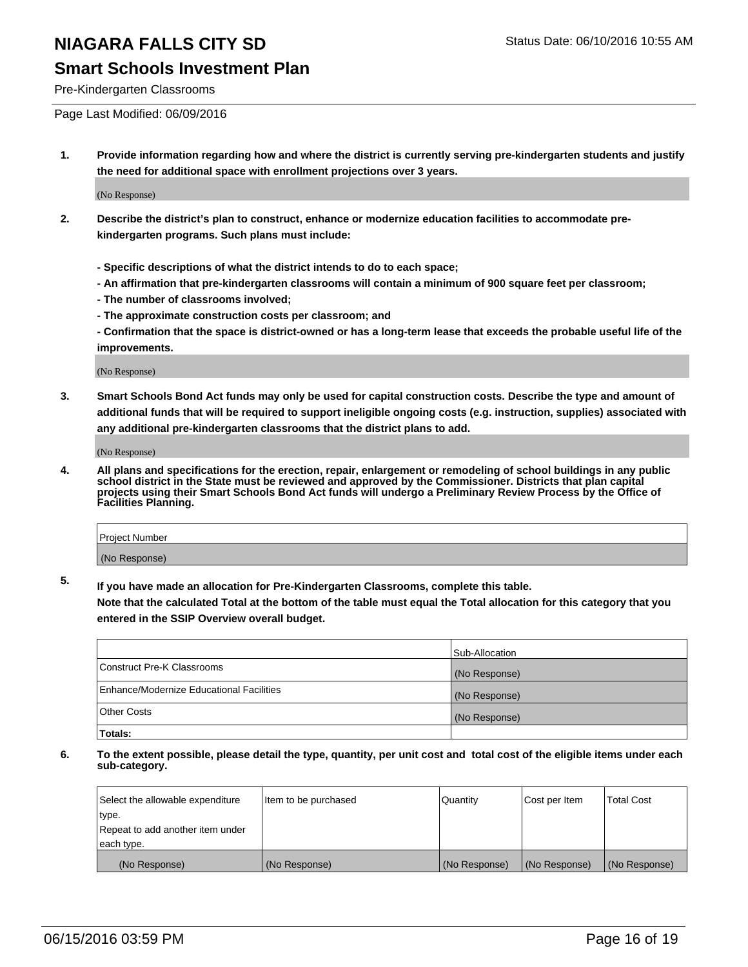### **Smart Schools Investment Plan**

Pre-Kindergarten Classrooms

Page Last Modified: 06/09/2016

**1. Provide information regarding how and where the district is currently serving pre-kindergarten students and justify the need for additional space with enrollment projections over 3 years.**

(No Response)

- **2. Describe the district's plan to construct, enhance or modernize education facilities to accommodate prekindergarten programs. Such plans must include:**
	- **Specific descriptions of what the district intends to do to each space;**
	- **An affirmation that pre-kindergarten classrooms will contain a minimum of 900 square feet per classroom;**
	- **The number of classrooms involved;**
	- **The approximate construction costs per classroom; and**
	- **Confirmation that the space is district-owned or has a long-term lease that exceeds the probable useful life of the improvements.**

(No Response)

**3. Smart Schools Bond Act funds may only be used for capital construction costs. Describe the type and amount of additional funds that will be required to support ineligible ongoing costs (e.g. instruction, supplies) associated with any additional pre-kindergarten classrooms that the district plans to add.**

(No Response)

**4. All plans and specifications for the erection, repair, enlargement or remodeling of school buildings in any public school district in the State must be reviewed and approved by the Commissioner. Districts that plan capital projects using their Smart Schools Bond Act funds will undergo a Preliminary Review Process by the Office of Facilities Planning.**

| <b>Project Number</b> |  |
|-----------------------|--|
| (No Response)         |  |

**5. If you have made an allocation for Pre-Kindergarten Classrooms, complete this table.**

**Note that the calculated Total at the bottom of the table must equal the Total allocation for this category that you entered in the SSIP Overview overall budget.**

|                                          | Sub-Allocation |
|------------------------------------------|----------------|
| Construct Pre-K Classrooms               | (No Response)  |
| Enhance/Modernize Educational Facilities | (No Response)  |
| Other Costs                              | (No Response)  |
| Totals:                                  |                |

| Select the allowable expenditure | Item to be purchased | Quantity      | Cost per Item | <b>Total Cost</b> |
|----------------------------------|----------------------|---------------|---------------|-------------------|
| type.                            |                      |               |               |                   |
| Repeat to add another item under |                      |               |               |                   |
| each type.                       |                      |               |               |                   |
| (No Response)                    | (No Response)        | (No Response) | (No Response) | (No Response)     |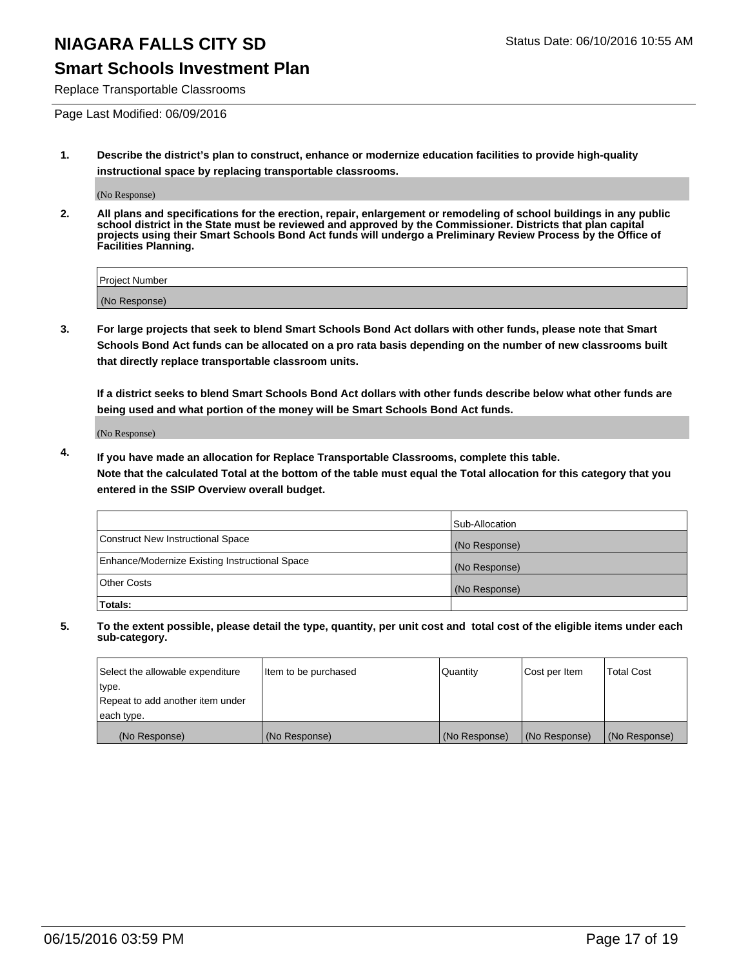### **Smart Schools Investment Plan**

Replace Transportable Classrooms

Page Last Modified: 06/09/2016

**1. Describe the district's plan to construct, enhance or modernize education facilities to provide high-quality instructional space by replacing transportable classrooms.**

(No Response)

**2. All plans and specifications for the erection, repair, enlargement or remodeling of school buildings in any public school district in the State must be reviewed and approved by the Commissioner. Districts that plan capital projects using their Smart Schools Bond Act funds will undergo a Preliminary Review Process by the Office of Facilities Planning.**

| <b>Project Number</b> |  |
|-----------------------|--|
| (No Response)         |  |

**3. For large projects that seek to blend Smart Schools Bond Act dollars with other funds, please note that Smart Schools Bond Act funds can be allocated on a pro rata basis depending on the number of new classrooms built that directly replace transportable classroom units.**

**If a district seeks to blend Smart Schools Bond Act dollars with other funds describe below what other funds are being used and what portion of the money will be Smart Schools Bond Act funds.**

(No Response)

**4. If you have made an allocation for Replace Transportable Classrooms, complete this table. Note that the calculated Total at the bottom of the table must equal the Total allocation for this category that you entered in the SSIP Overview overall budget.**

|                                                | Sub-Allocation |
|------------------------------------------------|----------------|
| Construct New Instructional Space              | (No Response)  |
| Enhance/Modernize Existing Instructional Space | (No Response)  |
| <b>Other Costs</b>                             | (No Response)  |
| Totals:                                        |                |

| Select the allowable expenditure | Item to be purchased | <b>Quantity</b> | Cost per Item | <b>Total Cost</b> |
|----------------------------------|----------------------|-----------------|---------------|-------------------|
| type.                            |                      |                 |               |                   |
| Repeat to add another item under |                      |                 |               |                   |
| each type.                       |                      |                 |               |                   |
| (No Response)                    | (No Response)        | (No Response)   | (No Response) | (No Response)     |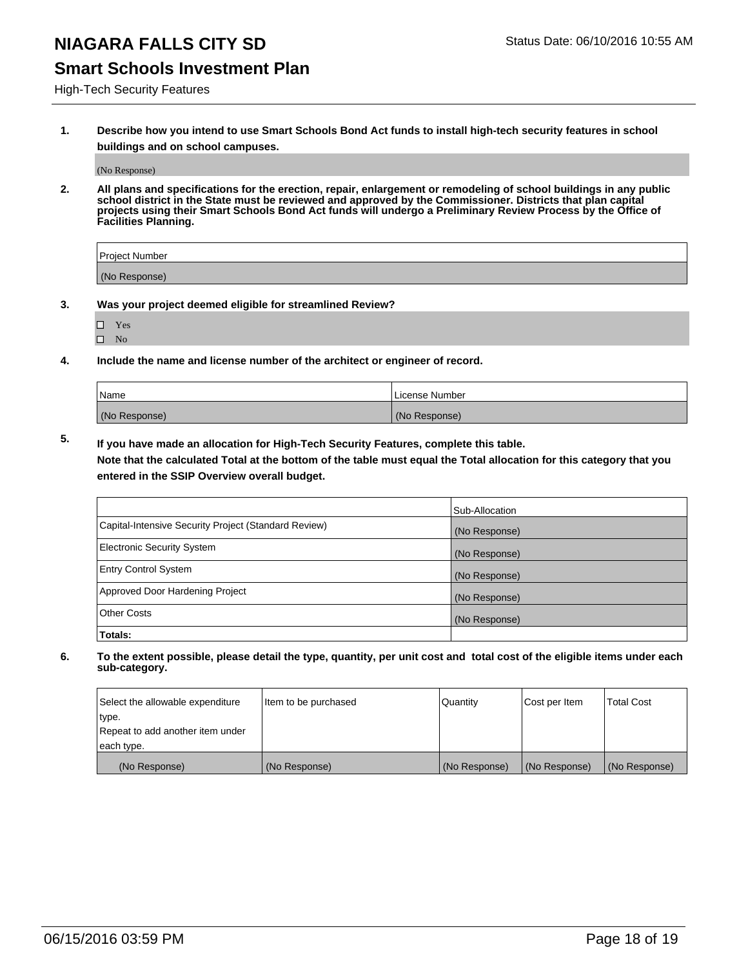### **Smart Schools Investment Plan**

High-Tech Security Features

**1. Describe how you intend to use Smart Schools Bond Act funds to install high-tech security features in school buildings and on school campuses.**

(No Response)

**2. All plans and specifications for the erection, repair, enlargement or remodeling of school buildings in any public school district in the State must be reviewed and approved by the Commissioner. Districts that plan capital projects using their Smart Schools Bond Act funds will undergo a Preliminary Review Process by the Office of Facilities Planning.** 

| Project Number |  |
|----------------|--|
| (No Response)  |  |

- **3. Was your project deemed eligible for streamlined Review?**
	- Yes
	- $\square$  No
- **4. Include the name and license number of the architect or engineer of record.**

| Name          | License Number |
|---------------|----------------|
| (No Response) | (No Response)  |

**5. If you have made an allocation for High-Tech Security Features, complete this table.**

**Note that the calculated Total at the bottom of the table must equal the Total allocation for this category that you entered in the SSIP Overview overall budget.**

|                                                      | Sub-Allocation |
|------------------------------------------------------|----------------|
| Capital-Intensive Security Project (Standard Review) | (No Response)  |
| <b>Electronic Security System</b>                    | (No Response)  |
| <b>Entry Control System</b>                          | (No Response)  |
| Approved Door Hardening Project                      | (No Response)  |
| <b>Other Costs</b>                                   | (No Response)  |
| Totals:                                              |                |

| Select the allowable expenditure | litem to be purchased | Quantity      | Cost per Item | Total Cost    |
|----------------------------------|-----------------------|---------------|---------------|---------------|
| type.                            |                       |               |               |               |
| Repeat to add another item under |                       |               |               |               |
| each type.                       |                       |               |               |               |
| (No Response)                    | (No Response)         | (No Response) | (No Response) | (No Response) |